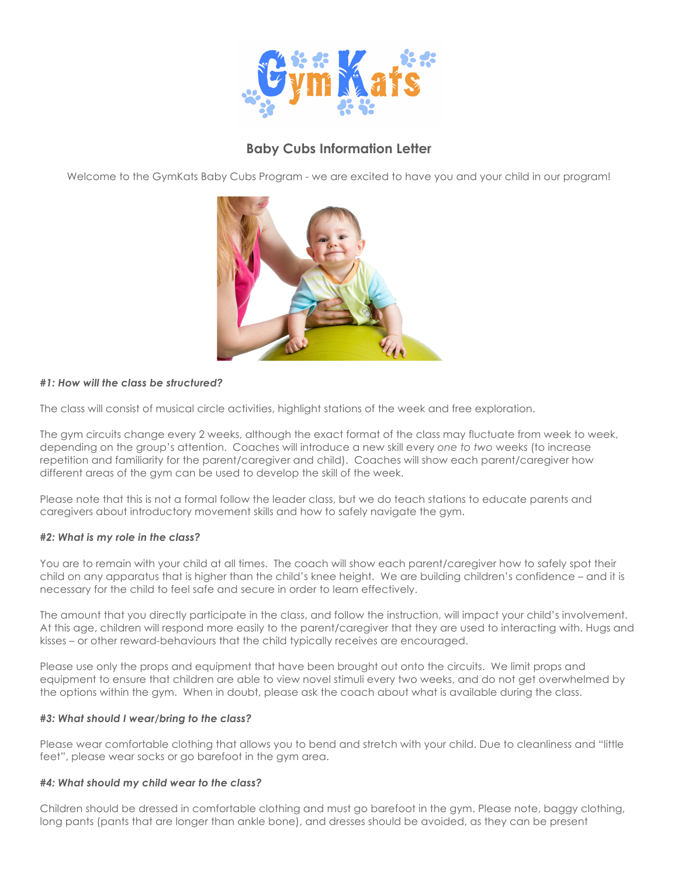

# **Baby Cubs Information Letter**

Welcome to the GymKats Baby Cubs Program - we are excited to have you and your child in our program!



## *#1: How will the class be structured?*

The class will consist of musical circle activities, highlight stations of the week and free exploration.

The gym circuits change every 2 weeks, although the exact format of the class may fluctuate from week to week, depending on the group's attention. Coaches will introduce a new skill every *one to two* weeks (to increase repetition and familiarity for the parent/caregiver and child). Coaches will show each parent/caregiver how different areas of the gym can be used to develop the skill of the week.

Please note that this is not a formal follow the leader class, but we do teach stations to educate parents and caregivers about introductory movement skills and how to safely navigate the gym.

#### *#2: What is my role in the class?*

You are to remain with your child at all times. The coach will show each parent/caregiver how to safely spot their child on any apparatus that is higher than the child's knee height. We are building children's confidence – and it is necessary for the child to feel safe and secure in order to learn effectively.

The amount that you directly participate in the class, and follow the instruction, will impact your child's involvement. At this age, children will respond more easily to the parent/caregiver that they are used to interacting with. Hugs and kisses – or other reward-behaviours that the child typically receives are encouraged.

Please use only the props and equipment that have been brought out onto the circuits. We limit props and equipment to ensure that children are able to view novel stimuli every two weeks, and do not get overwhelmed by the options within the gym. When in doubt, please ask the coach about what is available during the class.

#### *#3: What should I wear/bring to the class?*

Please wear comfortable clothing that allows you to bend and stretch with your child. Due to cleanliness and "little feet", please wear socks or go barefoot in the gym area.

#### *#4: What should my child wear to the class?*

Children should be dressed in comfortable clothing and must go barefoot in the gym. Please note, baggy clothing, long pants (pants that are longer than ankle bone), and dresses should be avoided, as they can be present